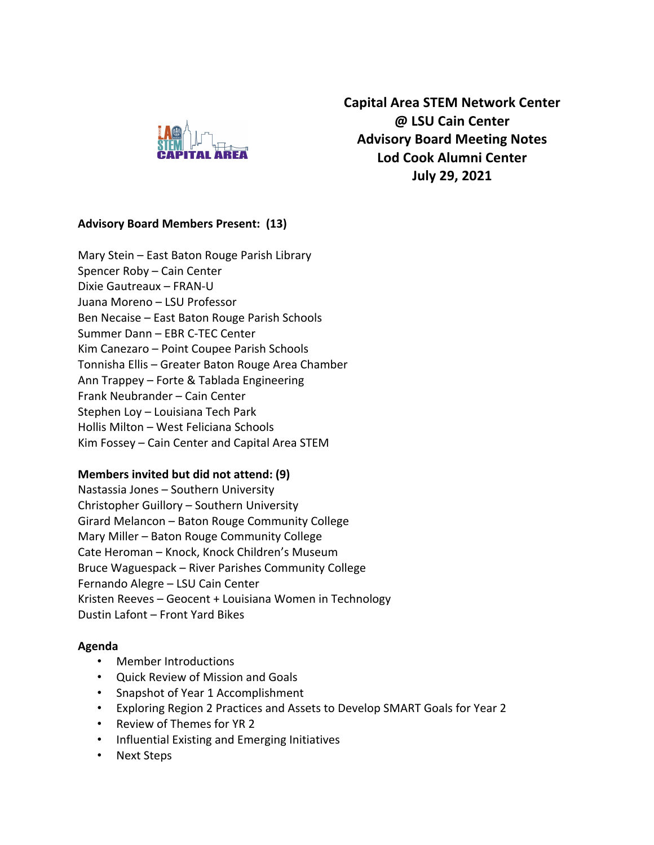

**Capital Area STEM Network Center @ LSU Cain Center Advisory Board Meeting Notes Lod Cook Alumni Center July 29, 2021**

#### **Advisory Board Members Present: (13)**

Mary Stein – East Baton Rouge Parish Library Spencer Roby – Cain Center Dixie Gautreaux – FRAN-U Juana Moreno – LSU Professor Ben Necaise – East Baton Rouge Parish Schools Summer Dann – EBR C-TEC Center Kim Canezaro – Point Coupee Parish Schools Tonnisha Ellis – Greater Baton Rouge Area Chamber Ann Trappey – Forte & Tablada Engineering Frank Neubrander – Cain Center Stephen Loy – Louisiana Tech Park Hollis Milton – West Feliciana Schools Kim Fossey – Cain Center and Capital Area STEM

#### **Members invited but did not attend: (9)**

Nastassia Jones – Southern University Christopher Guillory – Southern University Girard Melancon – Baton Rouge Community College Mary Miller – Baton Rouge Community College Cate Heroman – Knock, Knock Children's Museum Bruce Waguespack – River Parishes Community College Fernando Alegre – LSU Cain Center Kristen Reeves – Geocent + Louisiana Women in Technology Dustin Lafont – Front Yard Bikes

#### **Agenda**

- Member Introductions
- Quick Review of Mission and Goals
- Snapshot of Year 1 Accomplishment
- Exploring Region 2 Practices and Assets to Develop SMART Goals for Year 2
- Review of Themes for YR 2
- Influential Existing and Emerging Initiatives
- Next Steps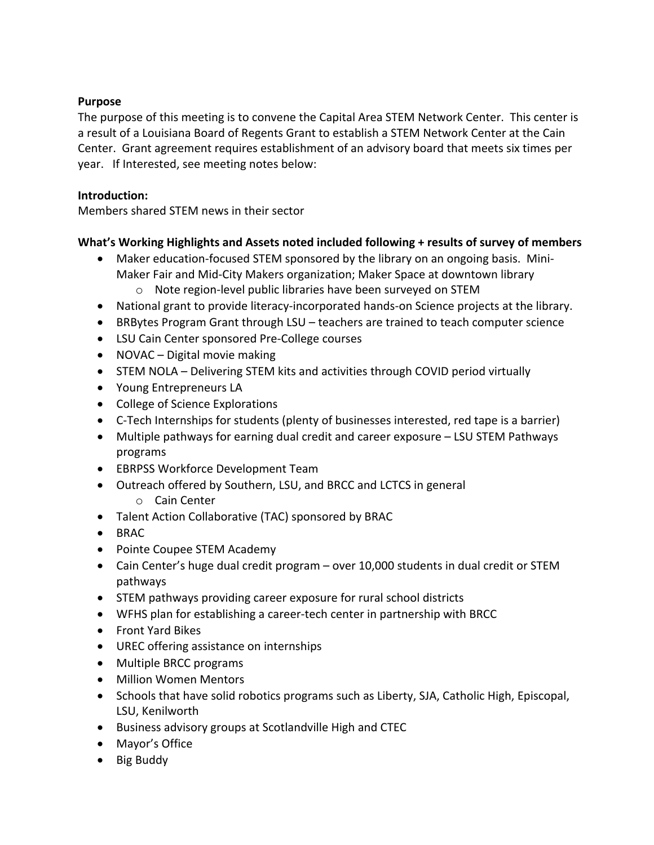### **Purpose**

The purpose of this meeting is to convene the Capital Area STEM Network Center. This center is a result of a Louisiana Board of Regents Grant to establish a STEM Network Center at the Cain Center. Grant agreement requires establishment of an advisory board that meets six times per year. If Interested, see meeting notes below:

#### **Introduction:**

Members shared STEM news in their sector

# **What's Working Highlights and Assets noted included following + results of survey of members**

- Maker education-focused STEM sponsored by the library on an ongoing basis. Mini-Maker Fair and Mid-City Makers organization; Maker Space at downtown library
	- o Note region-level public libraries have been surveyed on STEM
- National grant to provide literacy-incorporated hands-on Science projects at the library.
- BRBytes Program Grant through LSU teachers are trained to teach computer science
- LSU Cain Center sponsored Pre-College courses
- NOVAC Digital movie making
- STEM NOLA Delivering STEM kits and activities through COVID period virtually
- Young Entrepreneurs LA
- College of Science Explorations
- C-Tech Internships for students (plenty of businesses interested, red tape is a barrier)
- Multiple pathways for earning dual credit and career exposure LSU STEM Pathways programs
- EBRPSS Workforce Development Team
- Outreach offered by Southern, LSU, and BRCC and LCTCS in general
	- o Cain Center
- Talent Action Collaborative (TAC) sponsored by BRAC
- BRAC
- Pointe Coupee STEM Academy
- Cain Center's huge dual credit program over 10,000 students in dual credit or STEM pathways
- STEM pathways providing career exposure for rural school districts
- WFHS plan for establishing a career-tech center in partnership with BRCC
- Front Yard Bikes
- UREC offering assistance on internships
- Multiple BRCC programs
- Million Women Mentors
- Schools that have solid robotics programs such as Liberty, SJA, Catholic High, Episcopal, LSU, Kenilworth
- Business advisory groups at Scotlandville High and CTEC
- Mayor's Office
- Big Buddy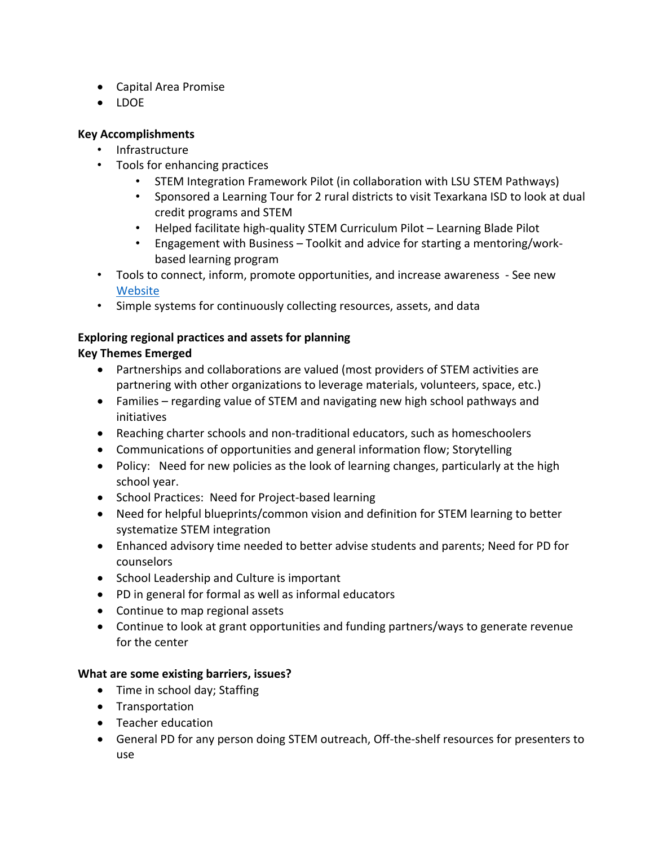- Capital Area Promise
- LDOE

# **Key Accomplishments**

- Infrastructure
- Tools for enhancing practices
	- STEM Integration Framework Pilot (in collaboration with LSU STEM Pathways)
	- Sponsored a Learning Tour for 2 rural districts to visit Texarkana ISD to look at dual credit programs and STEM
	- Helped facilitate high-quality STEM Curriculum Pilot Learning Blade Pilot
	- Engagement with Business Toolkit and advice for starting a mentoring/workbased learning program
- Tools to connect, inform, promote opportunities, and increase awareness See new Website
- Simple systems for continuously collecting resources, assets, and data

# **Exploring regional practices and assets for planning**

# **Key Themes Emerged**

- Partnerships and collaborations are valued (most providers of STEM activities are partnering with other organizations to leverage materials, volunteers, space, etc.)
- Families regarding value of STEM and navigating new high school pathways and initiatives
- Reaching charter schools and non-traditional educators, such as homeschoolers
- Communications of opportunities and general information flow; Storytelling
- Policy: Need for new policies as the look of learning changes, particularly at the high school year.
- School Practices: Need for Project-based learning
- Need for helpful blueprints/common vision and definition for STEM learning to better systematize STEM integration
- Enhanced advisory time needed to better advise students and parents; Need for PD for counselors
- School Leadership and Culture is important
- PD in general for formal as well as informal educators
- Continue to map regional assets
- Continue to look at grant opportunities and funding partners/ways to generate revenue for the center

# **What are some existing barriers, issues?**

- Time in school day; Staffing
- Transportation
- Teacher education
- General PD for any person doing STEM outreach, Off-the-shelf resources for presenters to use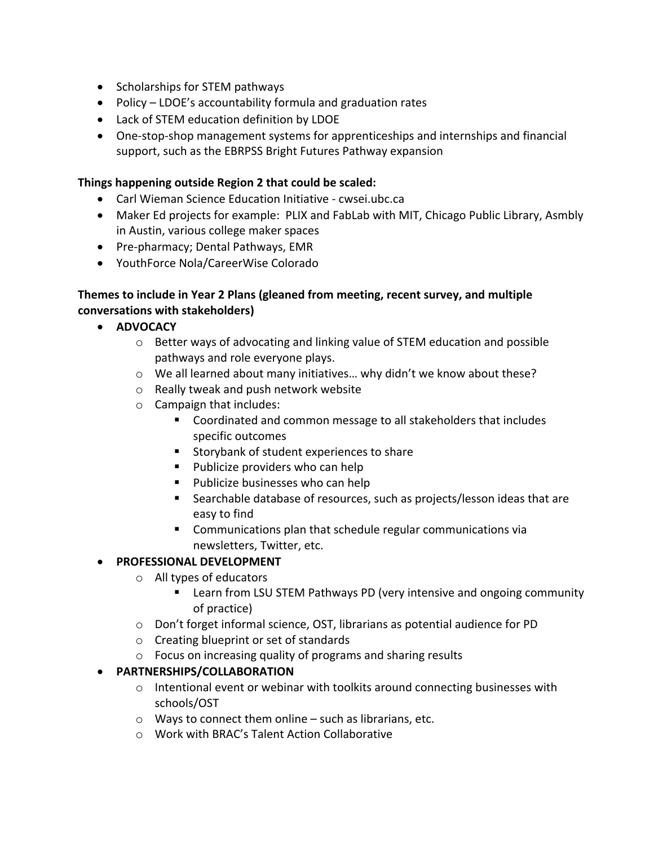- Scholarships for STEM pathways
- Policy LDOE's accountability formula and graduation rates
- Lack of STEM education definition by LDOE
- One-stop-shop management systems for apprenticeships and internships and financial support, such as the EBRPSS Bright Futures Pathway expansion

# **Things happening outside Region 2 that could be scaled:**

- Carl Wieman Science Education Initiative cwsei.ubc.ca
- Maker Ed projects for example: PLIX and FabLab with MIT, Chicago Public Library, Asmbly in Austin, various college maker spaces
- Pre-pharmacy; Dental Pathways, EMR
- YouthForce Nola/CareerWise Colorado

### **Themes to include in Year 2 Plans (gleaned from meeting, recent survey, and multiple conversations with stakeholders)**

- **ADVOCACY**
	- o Better ways of advocating and linking value of STEM education and possible pathways and role everyone plays.
	- $\circ$  We all learned about many initiatives... why didn't we know about these?
	- o Really tweak and push network website
	- o Campaign that includes:
		- Coordinated and common message to all stakeholders that includes specific outcomes
		- Storybank of student experiences to share
		- Publicize providers who can help
		- Publicize businesses who can help
		- Searchable database of resources, such as projects/lesson ideas that are easy to find
		- Communications plan that schedule regular communications via newsletters, Twitter, etc.

# • **PROFESSIONAL DEVELOPMENT**

- o All types of educators
	- Learn from LSU STEM Pathways PD (very intensive and ongoing community of practice)
- o Don't forget informal science, OST, librarians as potential audience for PD
- o Creating blueprint or set of standards
- o Focus on increasing quality of programs and sharing results

# • **PARTNERSHIPS/COLLABORATION**

- $\circ$  Intentional event or webinar with toolkits around connecting businesses with schools/OST
- o Ways to connect them online such as librarians, etc.
- o Work with BRAC's Talent Action Collaborative